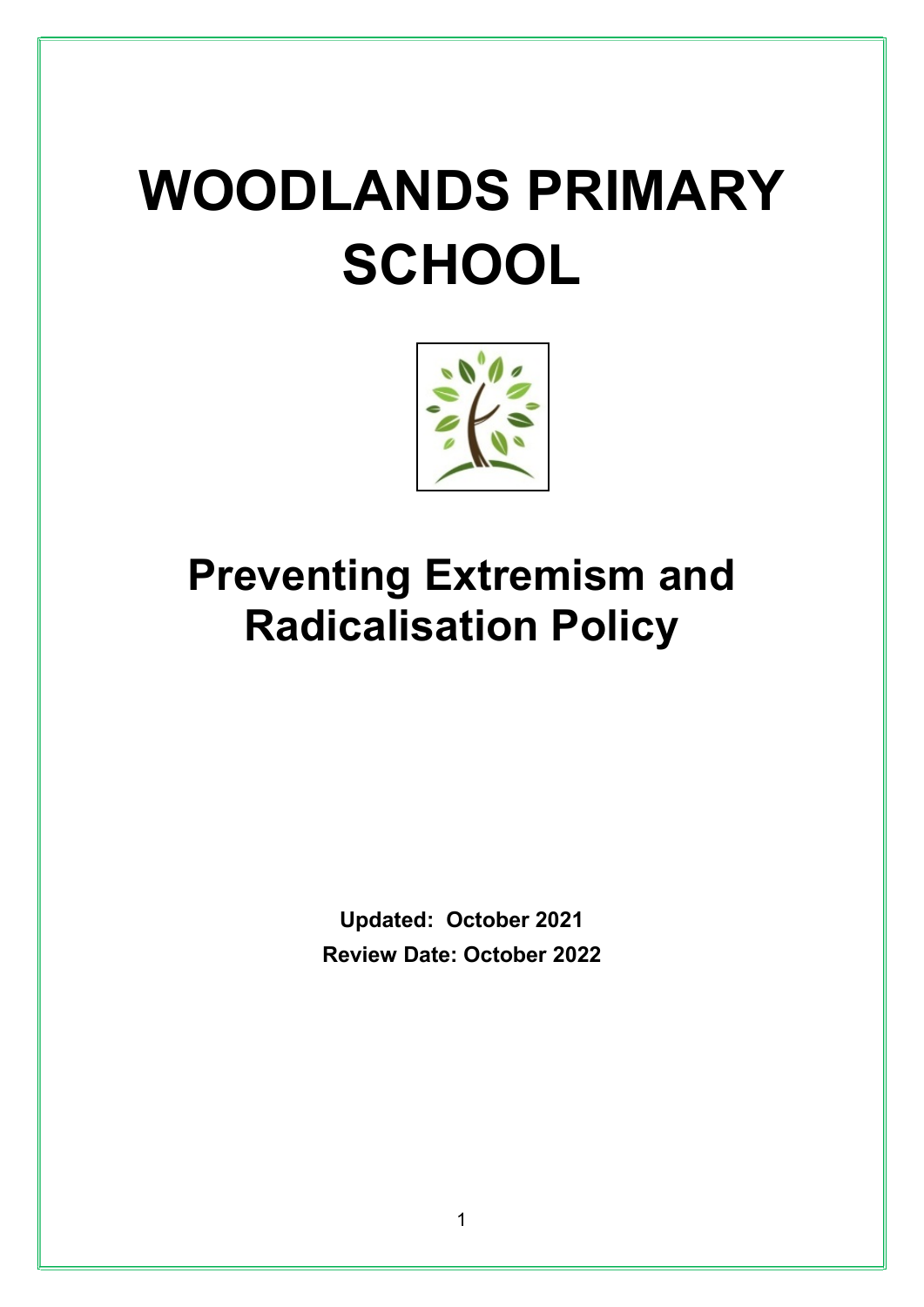# WOODLANDS PRIMARY **SCHOOL**



# Preventing Extremism and Radicalisation Policy

Updated: October 2021 Review Date: October 2022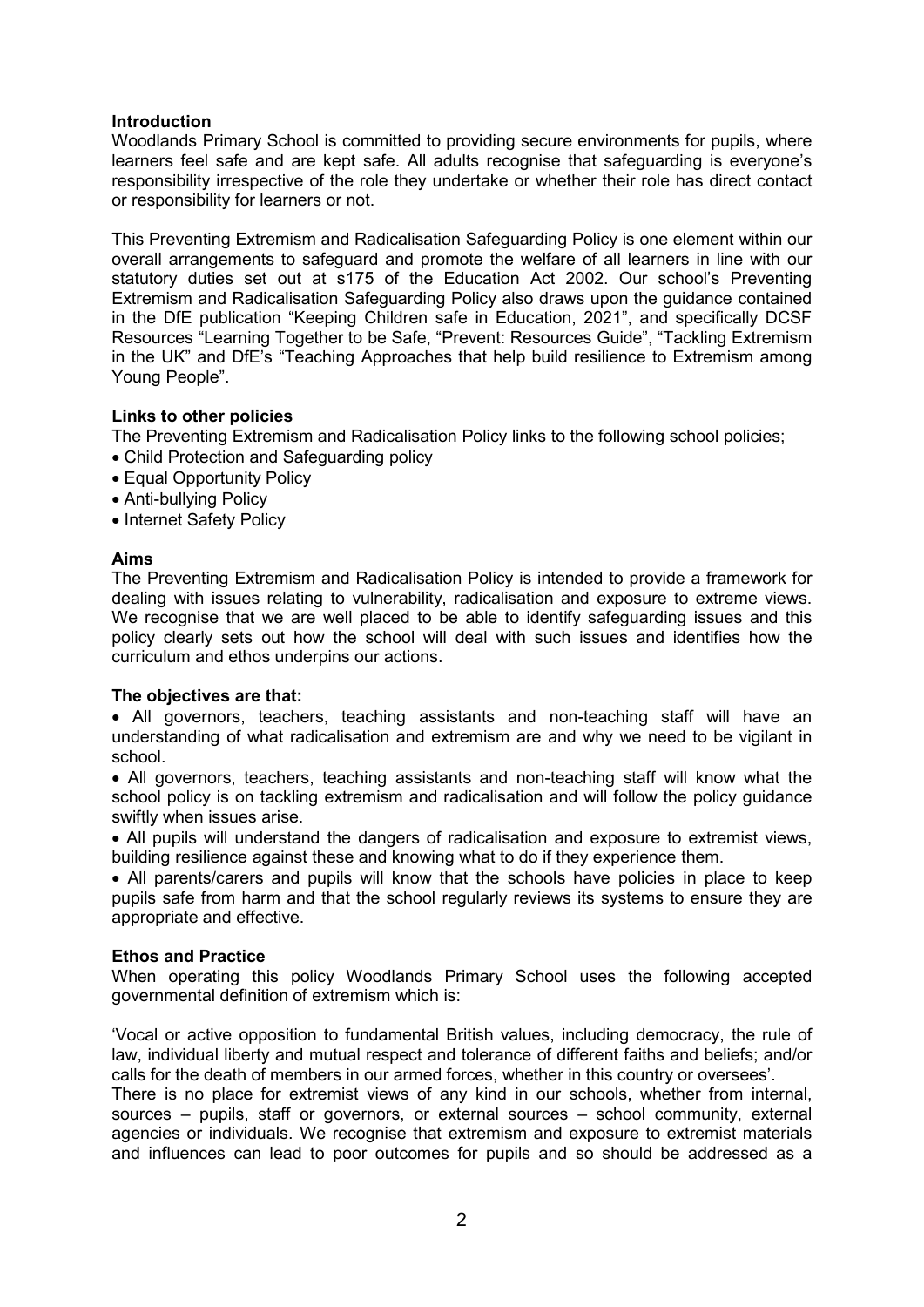# Introduction

Woodlands Primary School is committed to providing secure environments for pupils, where learners feel safe and are kept safe. All adults recognise that safeguarding is everyone's responsibility irrespective of the role they undertake or whether their role has direct contact or responsibility for learners or not.

This Preventing Extremism and Radicalisation Safeguarding Policy is one element within our overall arrangements to safeguard and promote the welfare of all learners in line with our statutory duties set out at s175 of the Education Act 2002. Our school's Preventing Extremism and Radicalisation Safeguarding Policy also draws upon the guidance contained in the DfE publication "Keeping Children safe in Education, 2021", and specifically DCSF Resources "Learning Together to be Safe, "Prevent: Resources Guide", "Tackling Extremism in the UK" and DfE's "Teaching Approaches that help build resilience to Extremism among Young People".

# Links to other policies

The Preventing Extremism and Radicalisation Policy links to the following school policies;

- Child Protection and Safeguarding policy
- Equal Opportunity Policy
- Anti-bullying Policy
- Internet Safety Policy

# Aims

The Preventing Extremism and Radicalisation Policy is intended to provide a framework for dealing with issues relating to vulnerability, radicalisation and exposure to extreme views. We recognise that we are well placed to be able to identify safeguarding issues and this policy clearly sets out how the school will deal with such issues and identifies how the curriculum and ethos underpins our actions.

#### The objectives are that:

 All governors, teachers, teaching assistants and non-teaching staff will have an understanding of what radicalisation and extremism are and why we need to be vigilant in school.

 All governors, teachers, teaching assistants and non-teaching staff will know what the school policy is on tackling extremism and radicalisation and will follow the policy guidance swiftly when issues arise.

 All pupils will understand the dangers of radicalisation and exposure to extremist views, building resilience against these and knowing what to do if they experience them.

 All parents/carers and pupils will know that the schools have policies in place to keep pupils safe from harm and that the school regularly reviews its systems to ensure they are appropriate and effective.

#### Ethos and Practice

When operating this policy Woodlands Primary School uses the following accepted governmental definition of extremism which is:

'Vocal or active opposition to fundamental British values, including democracy, the rule of law, individual liberty and mutual respect and tolerance of different faiths and beliefs; and/or calls for the death of members in our armed forces, whether in this country or oversees'.

There is no place for extremist views of any kind in our schools, whether from internal, sources – pupils, staff or governors, or external sources – school community, external agencies or individuals. We recognise that extremism and exposure to extremist materials and influences can lead to poor outcomes for pupils and so should be addressed as a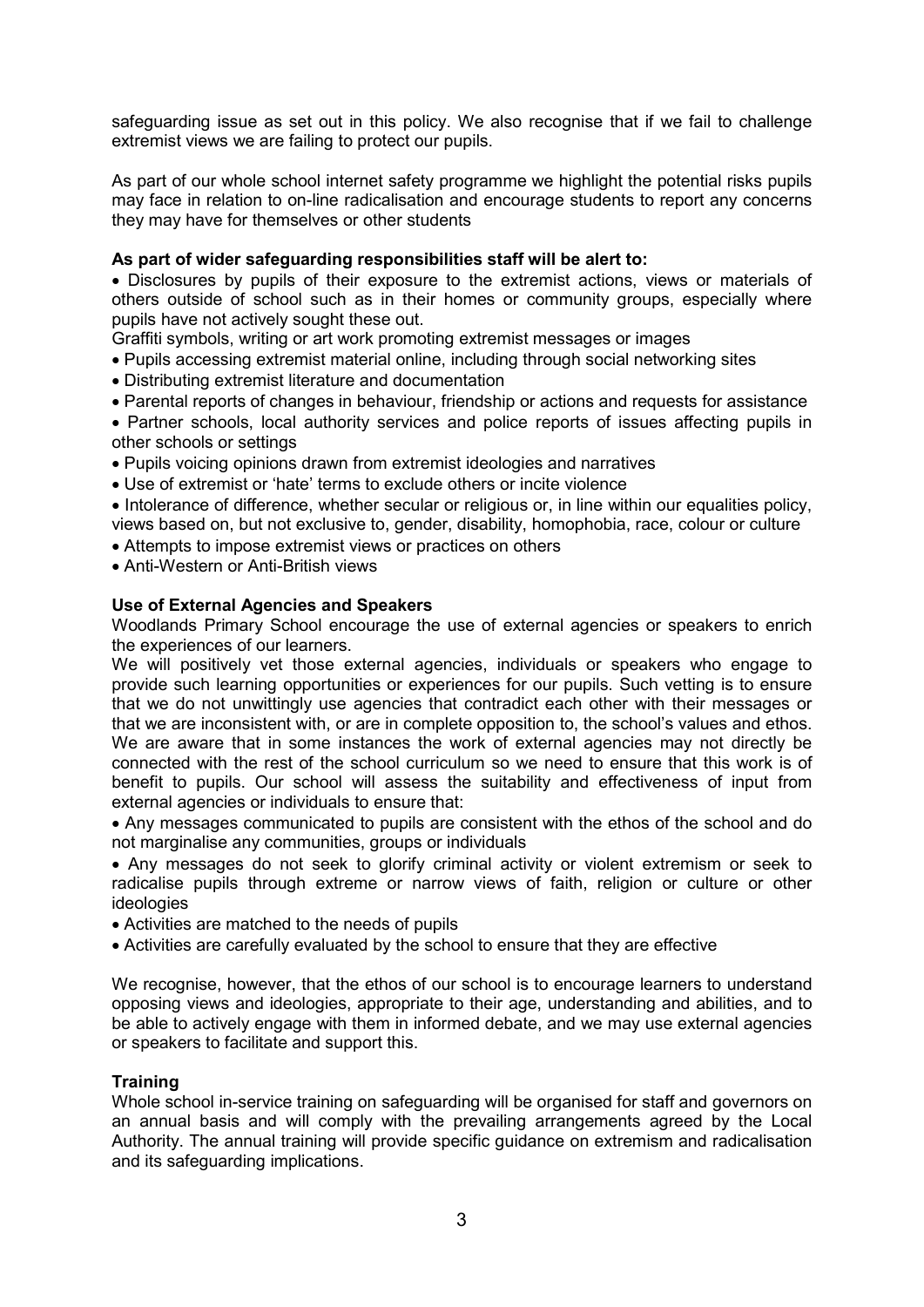safeguarding issue as set out in this policy. We also recognise that if we fail to challenge extremist views we are failing to protect our pupils.

As part of our whole school internet safety programme we highlight the potential risks pupils may face in relation to on-line radicalisation and encourage students to report any concerns they may have for themselves or other students

# As part of wider safeguarding responsibilities staff will be alert to:

 Disclosures by pupils of their exposure to the extremist actions, views or materials of others outside of school such as in their homes or community groups, especially where pupils have not actively sought these out.

Graffiti symbols, writing or art work promoting extremist messages or images

- Pupils accessing extremist material online, including through social networking sites
- Distributing extremist literature and documentation
- Parental reports of changes in behaviour, friendship or actions and requests for assistance
- Partner schools, local authority services and police reports of issues affecting pupils in other schools or settings
- Pupils voicing opinions drawn from extremist ideologies and narratives
- Use of extremist or 'hate' terms to exclude others or incite violence
- Intolerance of difference, whether secular or religious or, in line within our equalities policy, views based on, but not exclusive to, gender, disability, homophobia, race, colour or culture
- Attempts to impose extremist views or practices on others
- Anti-Western or Anti-British views

# Use of External Agencies and Speakers

Woodlands Primary School encourage the use of external agencies or speakers to enrich the experiences of our learners.

We will positively vet those external agencies, individuals or speakers who engage to provide such learning opportunities or experiences for our pupils. Such vetting is to ensure that we do not unwittingly use agencies that contradict each other with their messages or that we are inconsistent with, or are in complete opposition to, the school's values and ethos. We are aware that in some instances the work of external agencies may not directly be connected with the rest of the school curriculum so we need to ensure that this work is of benefit to pupils. Our school will assess the suitability and effectiveness of input from external agencies or individuals to ensure that:

 Any messages communicated to pupils are consistent with the ethos of the school and do not marginalise any communities, groups or individuals

 Any messages do not seek to glorify criminal activity or violent extremism or seek to radicalise pupils through extreme or narrow views of faith, religion or culture or other ideologies

- Activities are matched to the needs of pupils
- Activities are carefully evaluated by the school to ensure that they are effective

We recognise, however, that the ethos of our school is to encourage learners to understand opposing views and ideologies, appropriate to their age, understanding and abilities, and to be able to actively engage with them in informed debate, and we may use external agencies or speakers to facilitate and support this.

# **Training**

Whole school in-service training on safeguarding will be organised for staff and governors on an annual basis and will comply with the prevailing arrangements agreed by the Local Authority. The annual training will provide specific guidance on extremism and radicalisation and its safeguarding implications.